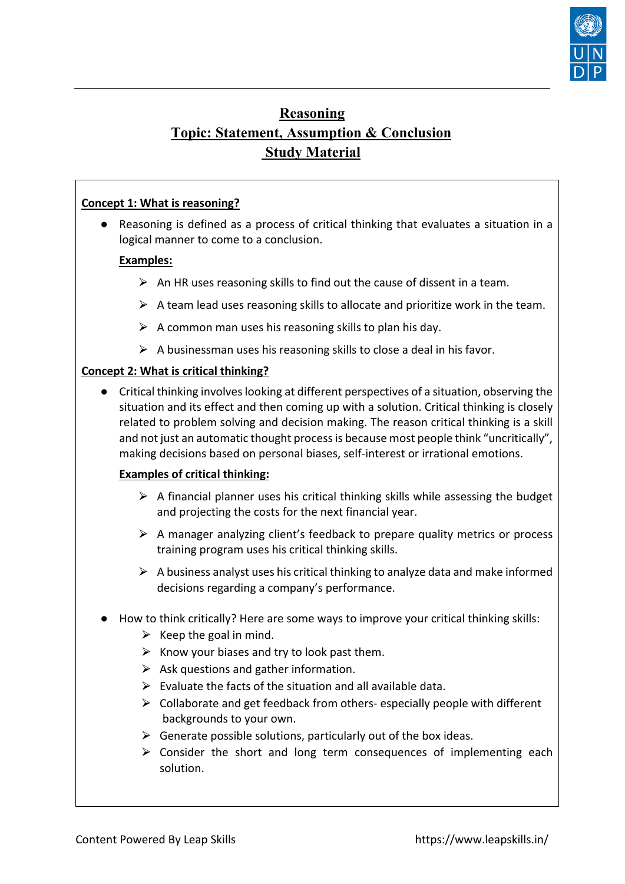

# **Reasoning Topic: Statement, Assumption & Conclusion Study Material**

# **Concept 1: What is reasoning?**

● Reasoning is defined as a process of critical thinking that evaluates a situation in a logical manner to come to a conclusion.

# **Examples:**

- $\triangleright$  An HR uses reasoning skills to find out the cause of dissent in a team.
- $\triangleright$  A team lead uses reasoning skills to allocate and prioritize work in the team.
- $\triangleright$  A common man uses his reasoning skills to plan his day.
- $\triangleright$  A businessman uses his reasoning skills to close a deal in his favor.

# **Concept 2: What is critical thinking?**

● Critical thinking involves looking at different perspectives of a situation, observing the situation and its effect and then coming up with a solution. Critical thinking is closely related to problem solving and decision making. The reason critical thinking is a skill and not just an automatic thought process is because most people think "uncritically", making decisions based on personal biases, self-interest or irrational emotions.

# **Examples of critical thinking:**

- $\triangleright$  A financial planner uses his critical thinking skills while assessing the budget and projecting the costs for the next financial year.
- $\triangleright$  A manager analyzing client's feedback to prepare quality metrics or process training program uses his critical thinking skills.
- $\triangleright$  A business analyst uses his critical thinking to analyze data and make informed decisions regarding a company's performance.
- How to think critically? Here are some ways to improve your critical thinking skills:
	- $\triangleright$  Keep the goal in mind.
	- $\triangleright$  Know your biases and try to look past them.
	- $\triangleright$  Ask questions and gather information.
	- $\triangleright$  Evaluate the facts of the situation and all available data.
	- $\triangleright$  Collaborate and get feedback from others- especially people with different backgrounds to your own.
	- $\triangleright$  Generate possible solutions, particularly out of the box ideas.
	- $\geq$  Consider the short and long term consequences of implementing each solution.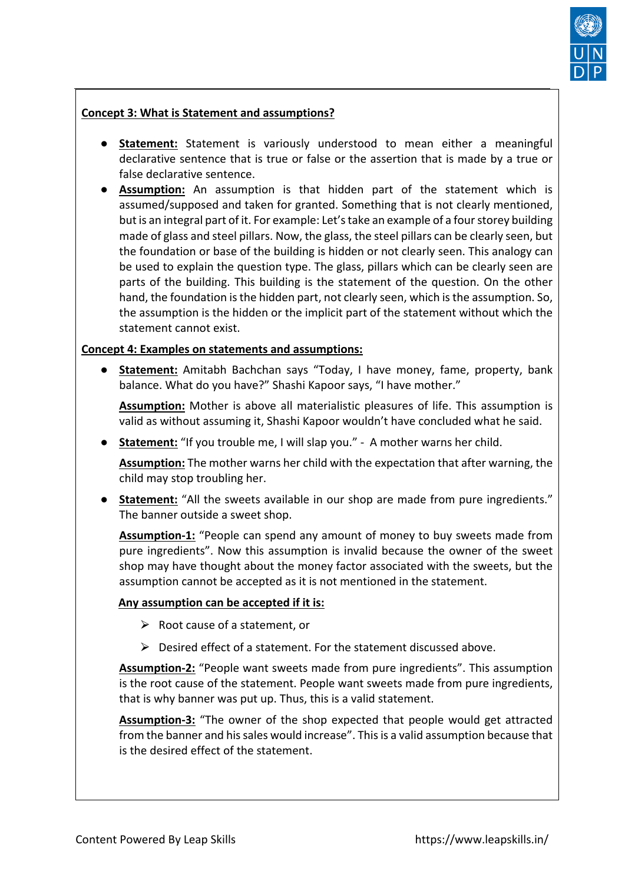

# **Concept 3: What is Statement and assumptions?**

- **Statement:** Statement is variously understood to mean either a meaningful declarative sentence that is true or false or the assertion that is made by a true or false declarative sentence.
- **Assumption:** An assumption is that hidden part of the statement which is assumed/supposed and taken for granted. Something that is not clearly mentioned, but is an integral part of it. For example: Let's take an example of a four storey building made of glass and steel pillars. Now, the glass, the steel pillars can be clearly seen, but the foundation or base of the building is hidden or not clearly seen. This analogy can be used to explain the question type. The glass, pillars which can be clearly seen are parts of the building. This building is the statement of the question. On the other hand, the foundation is the hidden part, not clearly seen, which is the assumption. So, the assumption is the hidden or the implicit part of the statement without which the statement cannot exist.

#### **Concept 4: Examples on statements and assumptions:**

● **Statement:** Amitabh Bachchan says "Today, I have money, fame, property, bank balance. What do you have?" Shashi Kapoor says, "I have mother."

**Assumption:** Mother is above all materialistic pleasures of life. This assumption is valid as without assuming it, Shashi Kapoor wouldn't have concluded what he said.

● **Statement:** "If you trouble me, I will slap you." - A mother warns her child.

**Assumption:** The mother warns her child with the expectation that after warning, the child may stop troubling her.

**Statement:** "All the sweets available in our shop are made from pure ingredients." The banner outside a sweet shop.

**Assumption-1:** "People can spend any amount of money to buy sweets made from pure ingredients". Now this assumption is invalid because the owner of the sweet shop may have thought about the money factor associated with the sweets, but the assumption cannot be accepted as it is not mentioned in the statement.

#### **Any assumption can be accepted if it is:**

- $\triangleright$  Root cause of a statement, or
- $\triangleright$  Desired effect of a statement. For the statement discussed above.

**Assumption-2:** "People want sweets made from pure ingredients". This assumption is the root cause of the statement. People want sweets made from pure ingredients, that is why banner was put up. Thus, this is a valid statement.

**Assumption-3:** "The owner of the shop expected that people would get attracted from the banner and his sales would increase". This is a valid assumption because that is the desired effect of the statement.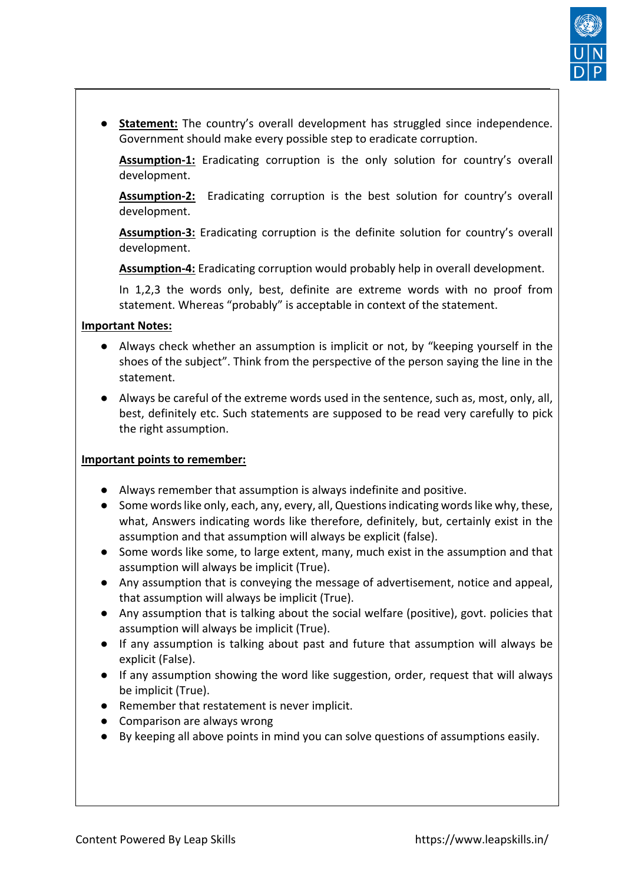

**Statement:** The country's overall development has struggled since independence. Government should make every possible step to eradicate corruption.

**Assumption-1:** Eradicating corruption is the only solution for country's overall development.

**Assumption-2:** Eradicating corruption is the best solution for country's overall development.

**Assumption-3:** Eradicating corruption is the definite solution for country's overall development.

**Assumption-4:** Eradicating corruption would probably help in overall development.

In 1,2,3 the words only, best, definite are extreme words with no proof from statement. Whereas "probably" is acceptable in context of the statement.

# **Important Notes:**

- Always check whether an assumption is implicit or not, by "keeping yourself in the shoes of the subject". Think from the perspective of the person saying the line in the statement.
- Always be careful of the extreme words used in the sentence, such as, most, only, all, best, definitely etc. Such statements are supposed to be read very carefully to pick the right assumption.

# **Important points to remember:**

- Always remember that assumption is always indefinite and positive.
- Some words like only, each, any, every, all, Questions indicating words like why, these, what, Answers indicating words like therefore, definitely, but, certainly exist in the assumption and that assumption will always be explicit (false).
- Some words like some, to large extent, many, much exist in the assumption and that assumption will always be implicit (True).
- Any assumption that is conveying the message of advertisement, notice and appeal, that assumption will always be implicit (True).
- Any assumption that is talking about the social welfare (positive), govt. policies that assumption will always be implicit (True).
- If any assumption is talking about past and future that assumption will always be explicit (False).
- If any assumption showing the word like suggestion, order, request that will always be implicit (True).
- Remember that restatement is never implicit.
- Comparison are always wrong
- By keeping all above points in mind you can solve questions of assumptions easily.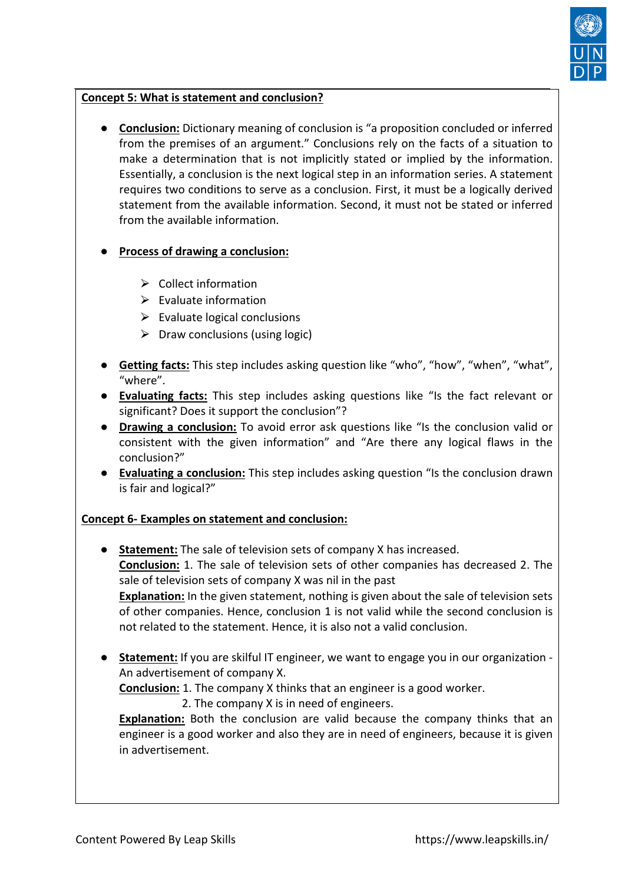

# **Concept 5: What is statement and conclusion?**

- **Conclusion:** Dictionary meaning of conclusion is "a proposition concluded or inferred from the premises of an argument." Conclusions rely on the facts of a situation to make a determination that is not implicitly stated or implied by the information. Essentially, a conclusion is the next logical step in an information series. A statement requires two conditions to serve as a conclusion. First, it must be a logically derived statement from the available information. Second, it must not be stated or inferred from the available information.
- **Process of drawing a conclusion:**
	- $\triangleright$  Collect information
	- $\triangleright$  Evaluate information
	- $\triangleright$  Evaluate logical conclusions
	- $\triangleright$  Draw conclusions (using logic)
- **Getting facts:** This step includes asking question like "who", "how", "when", "what", "where".
- **Evaluating facts:** This step includes asking questions like "Is the fact relevant or significant? Does it support the conclusion"?
- **Drawing a conclusion:** To avoid error ask questions like "Is the conclusion valid or consistent with the given information" and "Are there any logical flaws in the conclusion?"
- **Evaluating a conclusion:** This step includes asking question "Is the conclusion drawn is fair and logical?"

# **Concept 6- Examples on statement and conclusion:**

- **Statement:** The sale of television sets of company X has increased. **Conclusion:** 1. The sale of television sets of other companies has decreased 2. The sale of television sets of company X was nil in the past **Explanation:** In the given statement, nothing is given about the sale of television sets of other companies. Hence, conclusion 1 is not valid while the second conclusion is not related to the statement. Hence, it is also not a valid conclusion.
- **Statement:** If you are skilful IT engineer, we want to engage you in our organization -An advertisement of company X.

**Conclusion:** 1. The company X thinks that an engineer is a good worker.

2. The company X is in need of engineers.

**Explanation:** Both the conclusion are valid because the company thinks that an engineer is a good worker and also they are in need of engineers, because it is given in advertisement.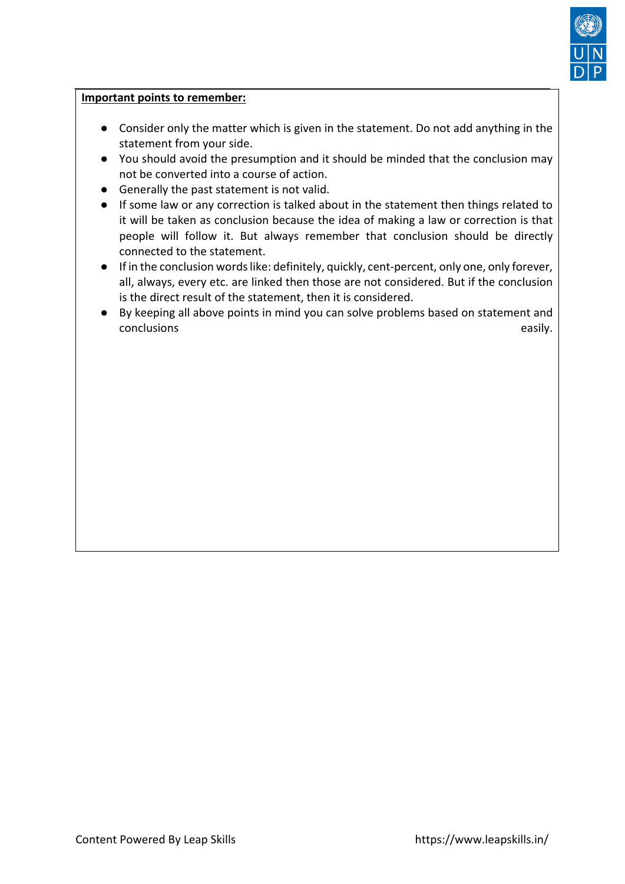

#### **Important points to remember:**

- Consider only the matter which is given in the statement. Do not add anything in the statement from your side.
- You should avoid the presumption and it should be minded that the conclusion may not be converted into a course of action.
- Generally the past statement is not valid.
- If some law or any correction is talked about in the statement then things related to it will be taken as conclusion because the idea of making a law or correction is that people will follow it. But always remember that conclusion should be directly connected to the statement.
- If in the conclusion words like: definitely, quickly, cent-percent, only one, only forever, all, always, every etc. are linked then those are not considered. But if the conclusion is the direct result of the statement, then it is considered.
- By keeping all above points in mind you can solve problems based on statement and conclusions easily.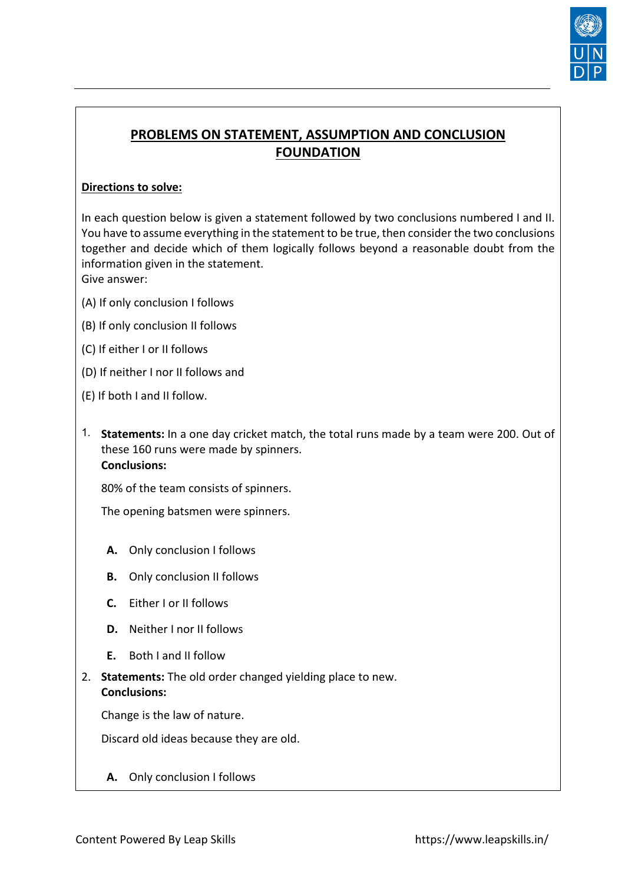

# **PROBLEMS ON STATEMENT, ASSUMPTION AND CONCLUSION FOUNDATION**

# **Directions to solve:**

In each question below is given a statement followed by two conclusions numbered I and II. You have to assume everything in the statement to be true, then consider the two conclusions together and decide which of them logically follows beyond a reasonable doubt from the information given in the statement. Give answer:

(A) If only conclusion I follows

- (B) If only conclusion II follows
- (C) If either I or II follows
- (D) If neither I nor II follows and
- (E) If both I and II follow.
- 1. **Statements:** In a one day cricket match, the total runs made by a team were 200. Out of these 160 runs were made by spinners. **Conclusions:**

80% of the team consists of spinners.

The opening batsmen were spinners.

- **[A.](about:blank)** Only conclusion I follows
- **[B.](about:blank)** Only conclusion II follows
- **[C.](about:blank)** Either I or II follows
- **[D.](about:blank)** Neither I nor II follows
- **[E.](about:blank)** Both I and II follow
- 2. **Statements:** The old order changed yielding place to new. **Conclusions:**

Change is the law of nature.

Discard old ideas because they are old.

**[A.](about:blank)** Only conclusion I follows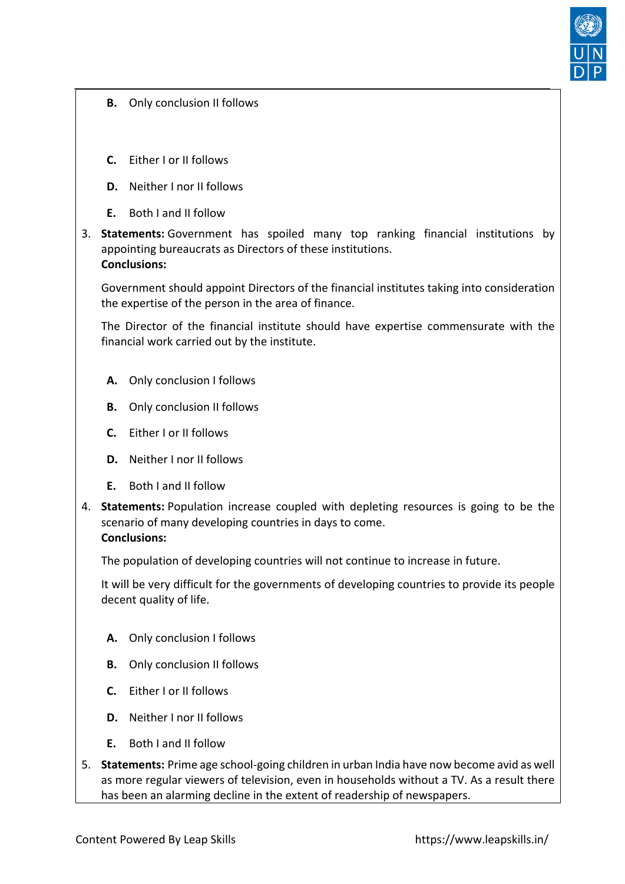

- **[B.](about:blank)** Only conclusion II follows
- **[C.](about:blank)** Either I or II follows
- **[D.](about:blank)** Neither I nor II follows
- **[E.](about:blank)** Both I and II follow
- 3. **Statements:** Government has spoiled many top ranking financial institutions by appointing bureaucrats as Directors of these institutions. **Conclusions:**

Government should appoint Directors of the financial institutes taking into consideration the expertise of the person in the area of finance.

The Director of the financial institute should have expertise commensurate with the financial work carried out by the institute.

- **[A.](about:blank)** Only conclusion I follows
- **[B.](about:blank)** Only conclusion II follows
- **[C.](about:blank)** Either I or II follows
- **[D.](about:blank)** Neither I nor II follows
- **[E.](about:blank)** Both I and II follow
- 4. **Statements:** Population increase coupled with depleting resources is going to be the scenario of many developing countries in days to come. **Conclusions:**

The population of developing countries will not continue to increase in future.

It will be very difficult for the governments of developing countries to provide its people decent quality of life.

- **[A.](about:blank)** Only conclusion I follows
- **[B.](about:blank)** Only conclusion II follows
- **[C.](about:blank)** Either I or II follows
- **[D.](about:blank)** Neither I nor II follows
- **[E.](about:blank)** Both I and II follow
- 5. **Statements:** Prime age school-going children in urban India have now become avid as well as more regular viewers of television, even in households without a TV. As a result there has been an alarming decline in the extent of readership of newspapers.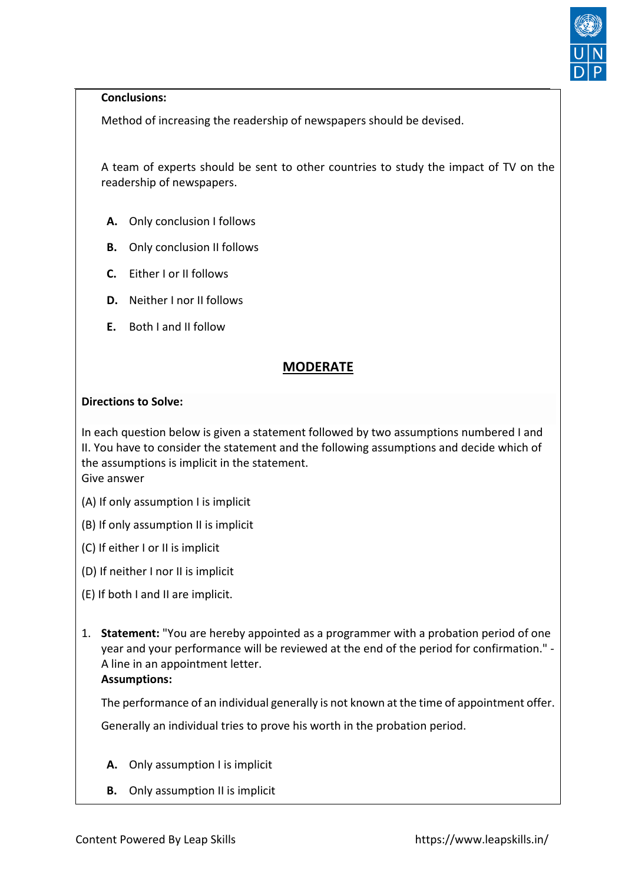

#### **Conclusions:**

Method of increasing the readership of newspapers should be devised.

A team of experts should be sent to other countries to study the impact of TV on the readership of newspapers.

- **[A.](about:blank)** Only conclusion I follows
- **[B.](about:blank)** Only conclusion II follows
- **[C.](about:blank)** Either I or II follows
- **[D.](about:blank)** Neither I nor II follows
- **[E.](about:blank)** Both I and II follow

# **MODERATE**

#### **[Directions to Solve:](about:blank)**

In each question below is given a statement followed by two assumptions numbered I and II. You have to consider the statement and the following assumptions and decide which of the assumptions is implicit in the statement. Give answer

(A) If only assumption I is implicit

- 
- (B) If only assumption II is implicit
- (C) If either I or II is implicit
- (D) If neither I nor II is implicit
- (E) If both I and II are implicit.
- 1. **Statement:** "You are hereby appointed as a programmer with a probation period of one year and your performance will be reviewed at the end of the period for confirmation." - A line in an appointment letter. **Assumptions:**

The performance of an individual generally is not known at the time of appointment offer.

Generally an individual tries to prove his worth in the probation period.

- **[A.](about:blank)** Only assumption I is implicit
- **[B.](about:blank)** Only assumption II is implicit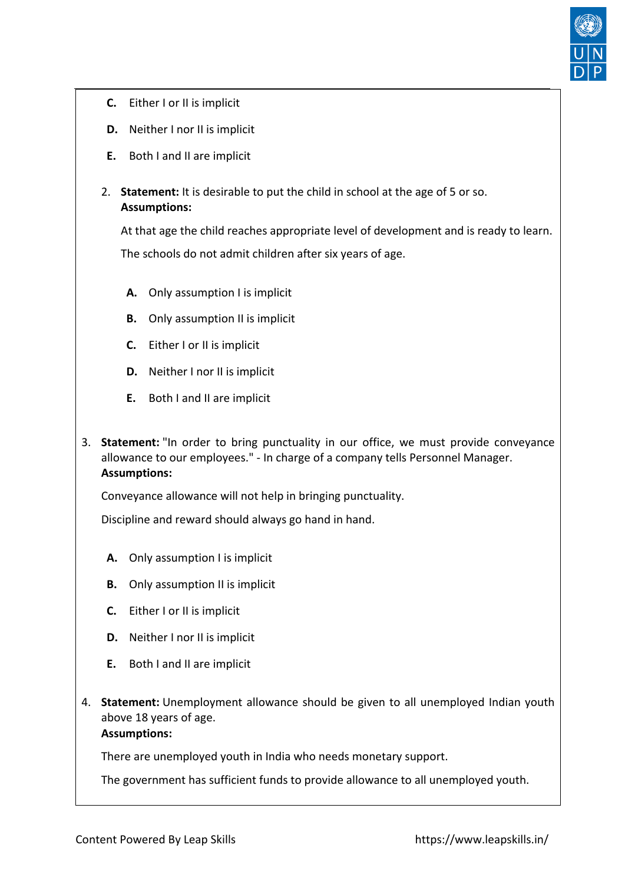

- **[C.](about:blank)** Either I or II is implicit
- **[D.](about:blank)** Neither I nor II is implicit
- **[E.](about:blank)** Both I and II are implicit
- 2. **Statement:** It is desirable to put the child in school at the age of 5 or so. **Assumptions:**

At that age the child reaches appropriate level of development and is ready to learn. The schools do not admit children after six years of age.

- **[A.](about:blank)** Only assumption I is implicit
- **[B.](about:blank)** Only assumption II is implicit
- **[C.](about:blank)** Either I or II is implicit
- **[D.](about:blank)** Neither I nor II is implicit
- **[E.](about:blank)** Both I and II are implicit
- 3. **Statement:** "In order to bring punctuality in our office, we must provide conveyance allowance to our employees." - In charge of a company tells Personnel Manager. **Assumptions:**

Conveyance allowance will not help in bringing punctuality.

Discipline and reward should always go hand in hand.

- **[A.](about:blank)** Only assumption I is implicit
- **[B.](about:blank)** Only assumption II is implicit
- **[C.](about:blank)** Either I or II is implicit
- **[D.](about:blank)** Neither I nor II is implicit
- **[E.](about:blank)** Both I and II are implicit
- 4. **Statement:** Unemployment allowance should be given to all unemployed Indian youth above 18 years of age.

# **Assumptions:**

There are unemployed youth in India who needs monetary support.

The government has sufficient funds to provide allowance to all unemployed youth.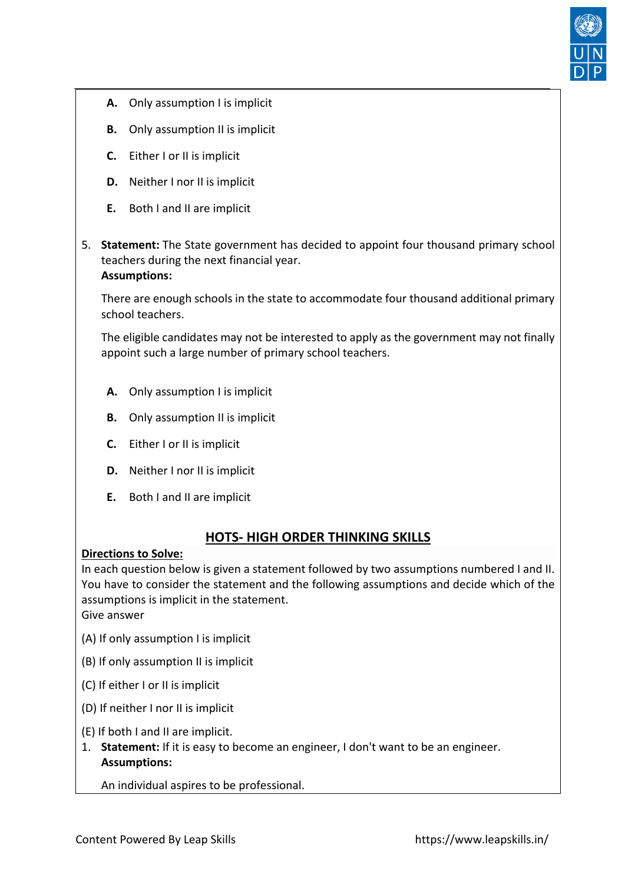

- **[A.](about:blank)** Only assumption I is implicit
- **[B.](about:blank)** Only assumption II is implicit
- **[C.](about:blank)** Either I or II is implicit
- **[D.](about:blank)** Neither I nor II is implicit
- **[E.](about:blank)** Both I and II are implicit
- 5. **Statement:** The State government has decided to appoint four thousand primary school teachers during the next financial year. **Assumptions:**

There are enough schools in the state to accommodate four thousand additional primary school teachers.

The eligible candidates may not be interested to apply as the government may not finally appoint such a large number of primary school teachers.

- **[A.](about:blank)** Only assumption I is implicit
- **[B.](about:blank)** Only assumption II is implicit
- **[C.](about:blank)** Either I or II is implicit
- **[D.](about:blank)** Neither I nor II is implicit
- **[E.](about:blank)** Both I and II are implicit

# **HOTS- HIGH ORDER THINKING SKILLS**

#### **[Directions to Solve:](about:blank)**

In each question below is given a statement followed by two assumptions numbered I and II. You have to consider the statement and the following assumptions and decide which of the assumptions is implicit in the statement.

Give answer

- (A) If only assumption I is implicit
- (B) If only assumption II is implicit
- (C) If either I or II is implicit
- (D) If neither I nor II is implicit
- (E) If both I and II are implicit.
- 1. **Statement:** If it is easy to become an engineer, I don't want to be an engineer. **Assumptions:**

An individual aspires to be professional.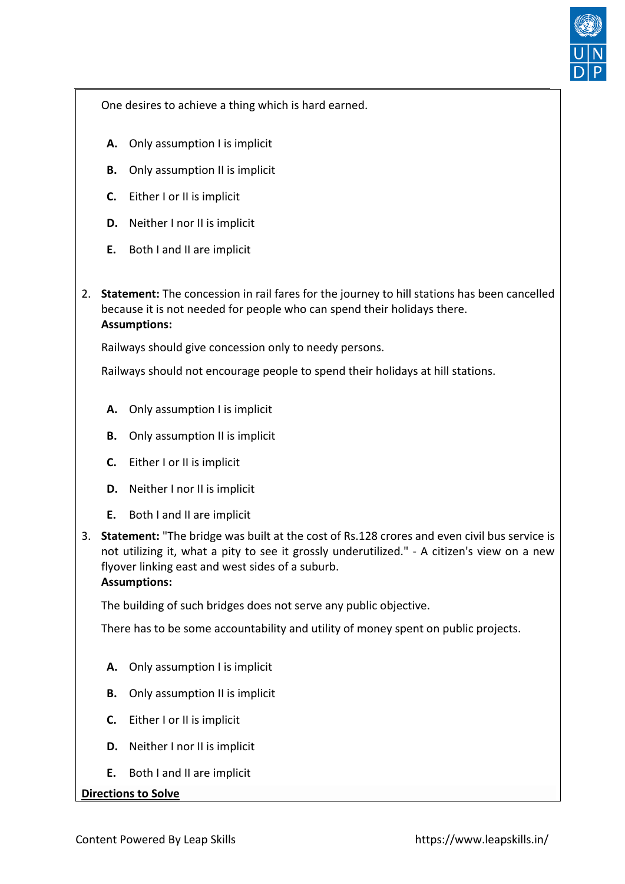

One desires to achieve a thing which is hard earned.

- **[A.](about:blank)** Only assumption I is implicit
- **[B.](about:blank)** Only assumption II is implicit
- **[C.](about:blank)** Either I or II is implicit
- **[D.](about:blank)** Neither I nor II is implicit
- **[E.](about:blank)** Both I and II are implicit
- 2. **Statement:** The concession in rail fares for the journey to hill stations has been cancelled because it is not needed for people who can spend their holidays there. **Assumptions:**

Railways should give concession only to needy persons.

Railways should not encourage people to spend their holidays at hill stations.

- **[A.](about:blank)** Only assumption I is implicit
- **[B.](about:blank)** Only assumption II is implicit
- **[C.](about:blank)** Either I or II is implicit
- **[D.](about:blank)** Neither I nor II is implicit
- **[E.](about:blank)** Both I and II are implicit
- 3. **Statement:** "The bridge was built at the cost of Rs.128 crores and even civil bus service is not utilizing it, what a pity to see it grossly underutilized." - A citizen's view on a new flyover linking east and west sides of a suburb. **Assumptions:**

The building of such bridges does not serve any public objective.

There has to be some accountability and utility of money spent on public projects.

- **[A.](about:blank)** Only assumption I is implicit
- **[B.](about:blank)** Only assumption II is implicit
- **[C.](about:blank)** Either I or II is implicit
- **[D.](about:blank)** Neither I nor II is implicit
- **[E.](about:blank)** Both I and II are implicit

#### **[Directions to Solve](about:blank)**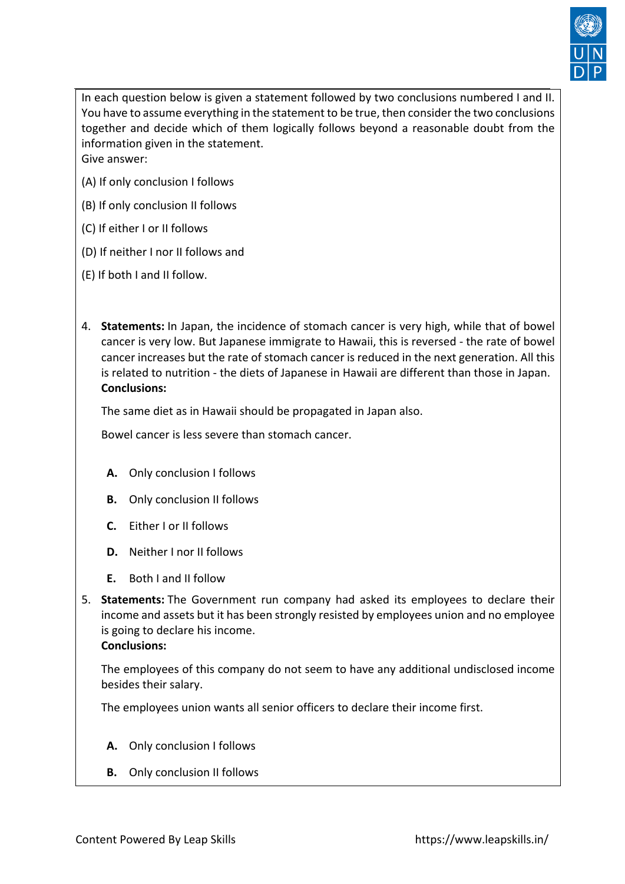

In each question below is given a statement followed by two conclusions numbered I and II. You have to assume everything in the statement to be true, then consider the two conclusions together and decide which of them logically follows beyond a reasonable doubt from the information given in the statement. Give answer:

(A) If only conclusion I follows

- (B) If only conclusion II follows
- (C) If either I or II follows
- (D) If neither I nor II follows and
- (E) If both I and II follow.
- 4. **Statements:** In Japan, the incidence of stomach cancer is very high, while that of bowel cancer is very low. But Japanese immigrate to Hawaii, this is reversed - the rate of bowel cancer increases but the rate of stomach cancer is reduced in the next generation. All this is related to nutrition - the diets of Japanese in Hawaii are different than those in Japan. **Conclusions:**

The same diet as in Hawaii should be propagated in Japan also.

Bowel cancer is less severe than stomach cancer.

- **[A.](about:blank)** Only conclusion I follows
- **[B.](about:blank)** Only conclusion II follows
- **[C.](about:blank)** Either I or II follows
- **[D.](about:blank)** Neither I nor II follows
- **[E.](about:blank)** Both I and II follow
- 5. **Statements:** The Government run company had asked its employees to declare their income and assets but it has been strongly resisted by employees union and no employee is going to declare his income. **Conclusions:**

The employees of this company do not seem to have any additional undisclosed income besides their salary.

The employees union wants all senior officers to declare their income first.

- **[A.](about:blank)** Only conclusion I follows
- **[B.](about:blank)** Only conclusion II follows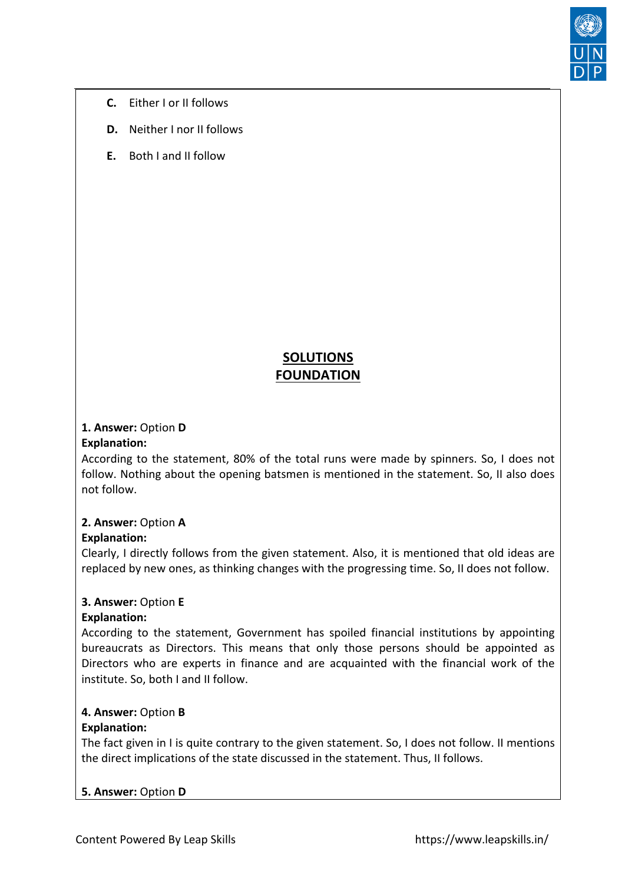

- **[C.](about:blank)** Either I or II follows
- **[D.](about:blank)** Neither I nor II follows
- **[E.](about:blank)** Both I and II follow

# **SOLUTIONS FOUNDATION**

#### **1. Answer:** Option **D Explanation:**

# According to the statement, 80% of the total runs were made by spinners. So, I does not

follow. Nothing about the opening batsmen is mentioned in the statement. So, II also does not follow.

# **2. Answer:** Option **A**

# **Explanation:**

Clearly, I directly follows from the given statement. Also, it is mentioned that old ideas are replaced by new ones, as thinking changes with the progressing time. So, II does not follow.

# **3. Answer:** Option **E**

# **Explanation:**

According to the statement, Government has spoiled financial institutions by appointing bureaucrats as Directors. This means that only those persons should be appointed as Directors who are experts in finance and are acquainted with the financial work of the institute. So, both I and II follow.

# **4. Answer:** Option **B**

# **Explanation:**

The fact given in I is quite contrary to the given statement. So, I does not follow. II mentions the direct implications of the state discussed in the statement. Thus, II follows.

# **5. Answer:** Option **D**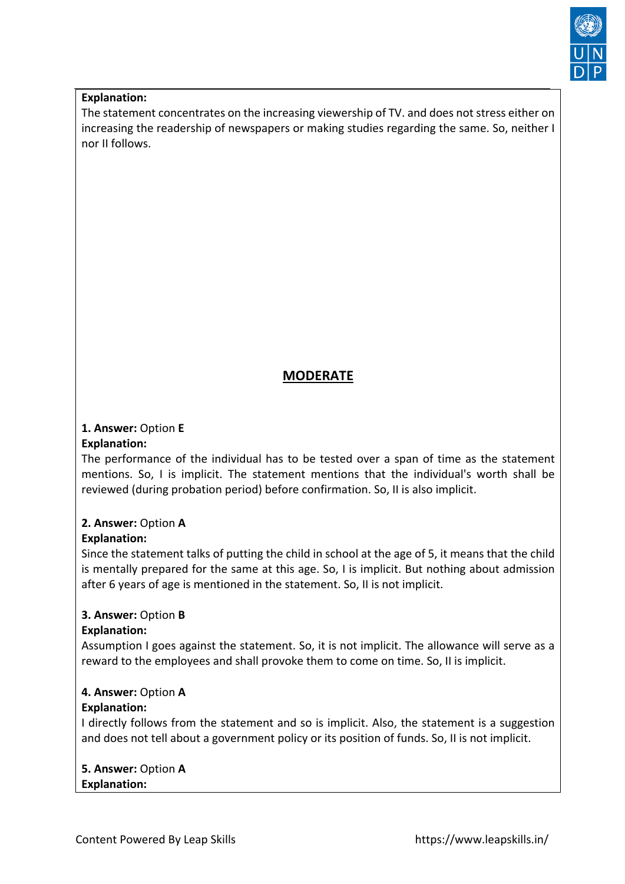

#### **Explanation:**

The statement concentrates on the increasing viewership of TV. and does not stress either on increasing the readership of newspapers or making studies regarding the same. So, neither I nor II follows.

# **MODERATE**

#### **1. Answer:** Option **E**

#### **Explanation:**

The performance of the individual has to be tested over a span of time as the statement mentions. So, I is implicit. The statement mentions that the individual's worth shall be reviewed (during probation period) before confirmation. So, II is also implicit.

# **2. Answer:** Option **A**

# **Explanation:**

Since the statement talks of putting the child in school at the age of 5, it means that the child is mentally prepared for the same at this age. So, I is implicit. But nothing about admission after 6 years of age is mentioned in the statement. So, II is not implicit.

# **3. Answer:** Option **B**

#### **Explanation:**

Assumption I goes against the statement. So, it is not implicit. The allowance will serve as a reward to the employees and shall provoke them to come on time. So, II is implicit.

# **4. Answer:** Option **A**

#### **Explanation:**

I directly follows from the statement and so is implicit. Also, the statement is a suggestion and does not tell about a government policy or its position of funds. So, II is not implicit.

**5. Answer:** Option **A Explanation:**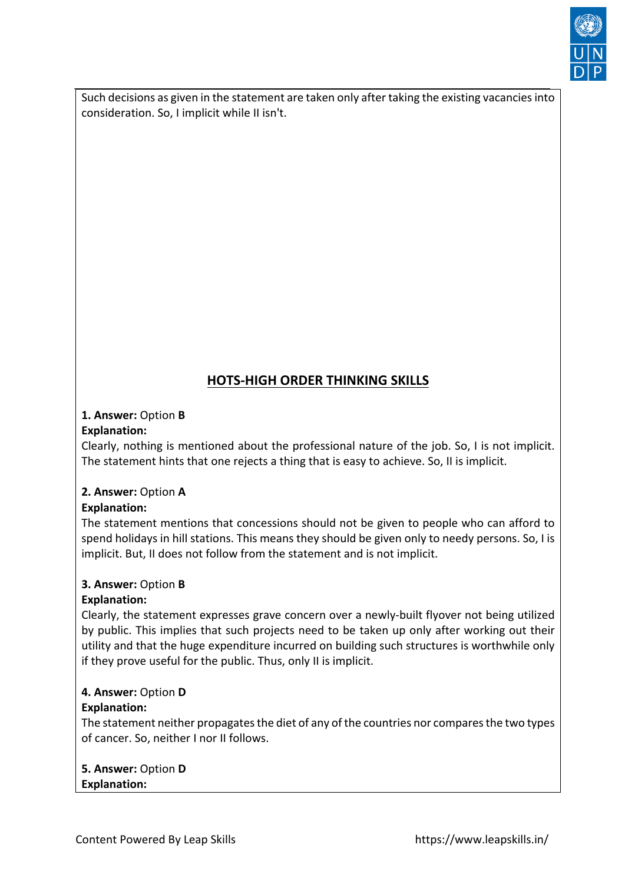

Such decisions as given in the statement are taken only after taking the existing vacancies into consideration. So, I implicit while II isn't.

# **HOTS-HIGH ORDER THINKING SKILLS**

#### **1. Answer:** Option **B Explanation:**

Clearly, nothing is mentioned about the professional nature of the job. So, I is not implicit. The statement hints that one rejects a thing that is easy to achieve. So, II is implicit.

# **2. Answer:** Option **A**

# **Explanation:**

The statement mentions that concessions should not be given to people who can afford to spend holidays in hill stations. This means they should be given only to needy persons. So, I is implicit. But, II does not follow from the statement and is not implicit.

# **3. Answer:** Option **B**

# **Explanation:**

Clearly, the statement expresses grave concern over a newly-built flyover not being utilized by public. This implies that such projects need to be taken up only after working out their utility and that the huge expenditure incurred on building such structures is worthwhile only if they prove useful for the public. Thus, only II is implicit.

# **4. Answer:** Option **D**

# **Explanation:**

The statement neither propagates the diet of any of the countries nor compares the two types of cancer. So, neither I nor II follows.

**5. Answer:** Option **D Explanation:**